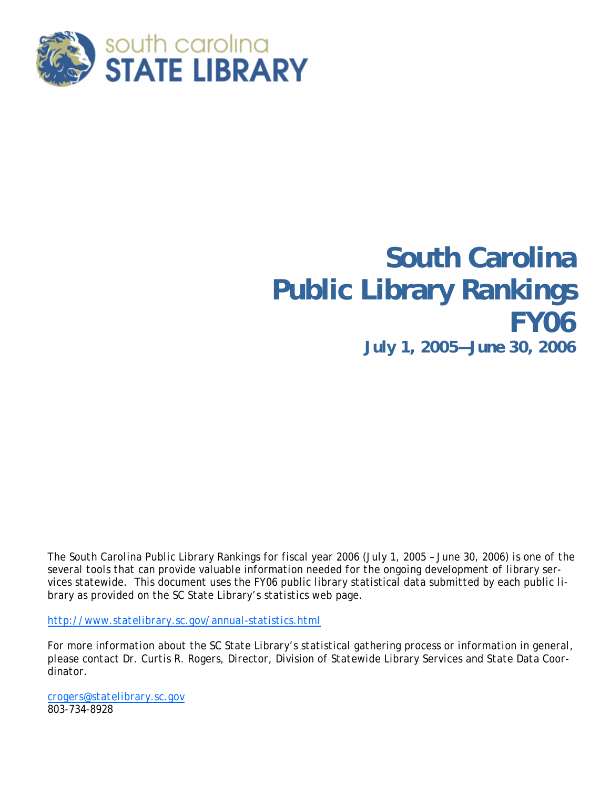

## **South Carolina Public Library Rankings FY06**  *July 1, 2005—June 30, 2006*

*The South Carolina Public Library Rankings for fiscal year 2006 (July 1, 2005 – June 30, 2006) is one of the several tools that can provide valuable information needed for the ongoing development of library services statewide. This document uses the FY06 public library statistical data submitted by each public library as provided on the SC State Library's statistics web page.* 

*http://www.statelibrary.sc.gov/annual-statistics.html* 

*For more information about the SC State Library's statistical gathering process or information in general, please contact Dr. Curtis R. Rogers, Director, Division of Statewide Library Services and State Data Coordinator.* 

*crogers@statelibrary.sc.gov 803-734-8928*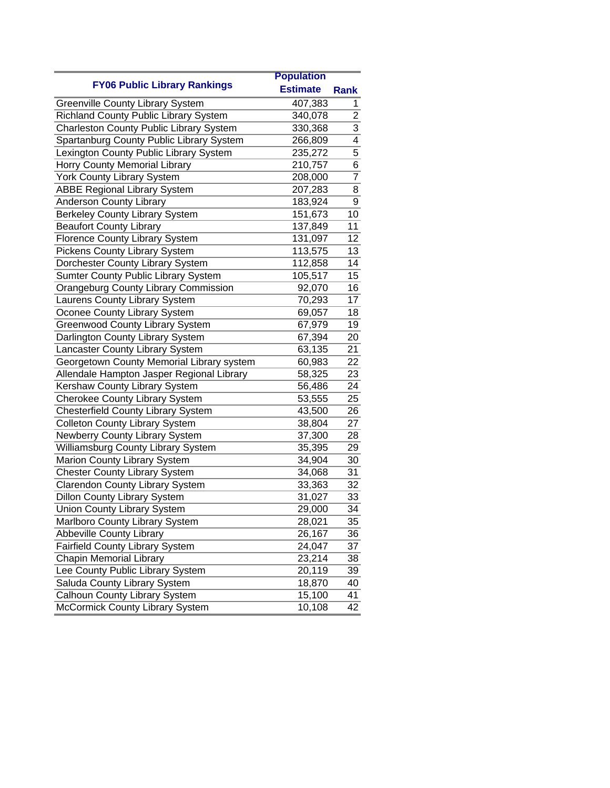|                                                | <b>Population</b> |                |
|------------------------------------------------|-------------------|----------------|
| <b>FY06 Public Library Rankings</b>            | <b>Estimate</b>   | <b>Rank</b>    |
| <b>Greenville County Library System</b>        | 407,383           | 1              |
| Richland County Public Library System          | 340,078           | $\overline{2}$ |
| <b>Charleston County Public Library System</b> | 330,368           | $\overline{3}$ |
| Spartanburg County Public Library System       | 266,809           | 4              |
| Lexington County Public Library System         | 235,272           | 5              |
| Horry County Memorial Library                  | 210,757           | 6              |
| <b>York County Library System</b>              | 208,000           | $\overline{7}$ |
| <b>ABBE Regional Library System</b>            | 207,283           | 8              |
| Anderson County Library                        | 183,924           | 9              |
| <b>Berkeley County Library System</b>          | 151,673           | 10             |
| <b>Beaufort County Library</b>                 | 137,849           | 11             |
| Florence County Library System                 | 131,097           | 12             |
| Pickens County Library System                  | 113,575           | 13             |
| Dorchester County Library System               | 112,858           | 14             |
| <b>Sumter County Public Library System</b>     | 105,517           | 15             |
| <b>Orangeburg County Library Commission</b>    | 92,070            | 16             |
| Laurens County Library System                  | 70,293            | 17             |
| Oconee County Library System                   | 69,057            | 18             |
| <b>Greenwood County Library System</b>         | 67,979            | 19             |
| Darlington County Library System               | 67,394            | 20             |
| Lancaster County Library System                | 63,135            | 21             |
| Georgetown County Memorial Library system      | 60,983            | 22             |
| Allendale Hampton Jasper Regional Library      | 58,325            | 23             |
| Kershaw County Library System                  | 56,486            | 24             |
| <b>Cherokee County Library System</b>          | 53,555            | 25             |
| <b>Chesterfield County Library System</b>      | 43,500            | 26             |
| <b>Colleton County Library System</b>          | 38,804            | 27             |
| Newberry County Library System                 | 37,300            | 28             |
| Williamsburg County Library System             | 35,395            | 29             |
| <b>Marion County Library System</b>            | 34,904            | 30             |
| <b>Chester County Library System</b>           | 34,068            | 31             |
| <b>Clarendon County Library System</b>         | 33,363            | 32             |
| <b>Dillon County Library System</b>            | 31,027            | 33             |
| <b>Union County Library System</b>             | 29,000            | 34             |
| Marlboro County Library System                 | 28,021            | 35             |
| <b>Abbeville County Library</b>                | 26,167            | 36             |
| Fairfield County Library System                | 24,047            | 37             |
| <b>Chapin Memorial Library</b>                 | 23,214            | 38             |
| Lee County Public Library System               | 20,119            | 39             |
| Saluda County Library System                   | 18,870            | 40             |
| Calhoun County Library System                  | 15,100            | 41             |
| McCormick County Library System                | 10,108            | 42             |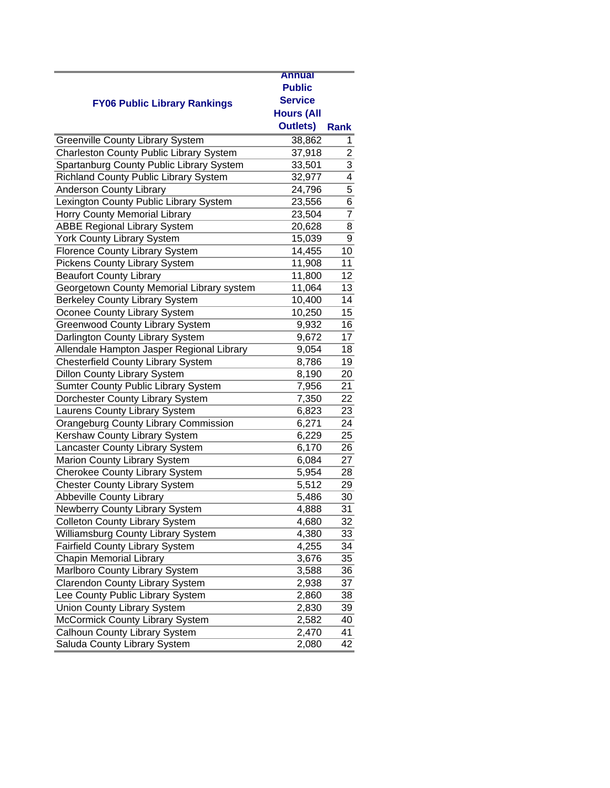|                                                | <b>Annual</b>       |                |
|------------------------------------------------|---------------------|----------------|
| <b>FY06 Public Library Rankings</b>            | <b>Public</b>       |                |
|                                                | <b>Service</b>      |                |
|                                                | <b>Hours (All</b>   |                |
|                                                | <b>Outlets)</b>     | <b>Rank</b>    |
| <b>Greenville County Library System</b>        | 38,862              | 1              |
| <b>Charleston County Public Library System</b> | 37,918              |                |
| Spartanburg County Public Library System       | 33,501              |                |
| <b>Richland County Public Library System</b>   | 32,977              | $\frac{2}{3}$  |
| <b>Anderson County Library</b>                 | 24,796              | $\overline{5}$ |
| Lexington County Public Library System         | 23,556              | 6              |
| Horry County Memorial Library                  | 23,504              | $\overline{7}$ |
| <b>ABBE Regional Library System</b>            | 20,628              | 8              |
| <b>York County Library System</b>              | 15,039              | 9              |
| Florence County Library System                 | 14,455              | 10             |
| <b>Pickens County Library System</b>           | 11,908              | 11             |
| <b>Beaufort County Library</b>                 | 11,800              | 12             |
| Georgetown County Memorial Library system      | 11,064              | 13             |
| Berkeley County Library System                 | 10,400              | 14             |
| Oconee County Library System                   | 10,250              | 15             |
| <b>Greenwood County Library System</b>         | 9,932               | 16             |
| Darlington County Library System               | 9,672               | 17             |
| Allendale Hampton Jasper Regional Library      | 9,054               | 18             |
| <b>Chesterfield County Library System</b>      | 8,786               | 19             |
| <b>Dillon County Library System</b>            | 8,190               | 20             |
| Sumter County Public Library System            | 7,956               | 21             |
| Dorchester County Library System               | 7,350               | 22             |
| Laurens County Library System                  | 6,823               | 23             |
| <b>Orangeburg County Library Commission</b>    | 6,271               | 24             |
| Kershaw County Library System                  | 6,229               | 25             |
| Lancaster County Library System                | 6,170               | 26             |
| Marion County Library System                   | 6,084               | 27             |
| <b>Cherokee County Library System</b>          | 5,954               | 28             |
| <b>Chester County Library System</b>           | $\overline{5}, 512$ | 29             |
| Abbeville County Library                       | 5,486               | 30             |
| Newberry County Library System                 | 4,888               | 31             |
| <b>Colleton County Library System</b>          | 4,680               | 32             |
| Williamsburg County Library System             | 4,380               | 33             |
| Fairfield County Library System                | 4,255               | 34             |
| <b>Chapin Memorial Library</b>                 | 3,676               | 35             |
| Marlboro County Library System                 | 3,588               | 36             |
| <b>Clarendon County Library System</b>         | 2,938               | 37             |
| Lee County Public Library System               | 2,860               | 38             |
| Union County Library System                    | 2,830               | 39             |
| McCormick County Library System                | 2,582               | 40             |
| Calhoun County Library System                  | 2,470               | 41             |
| Saluda County Library System                   | 2,080               | 42             |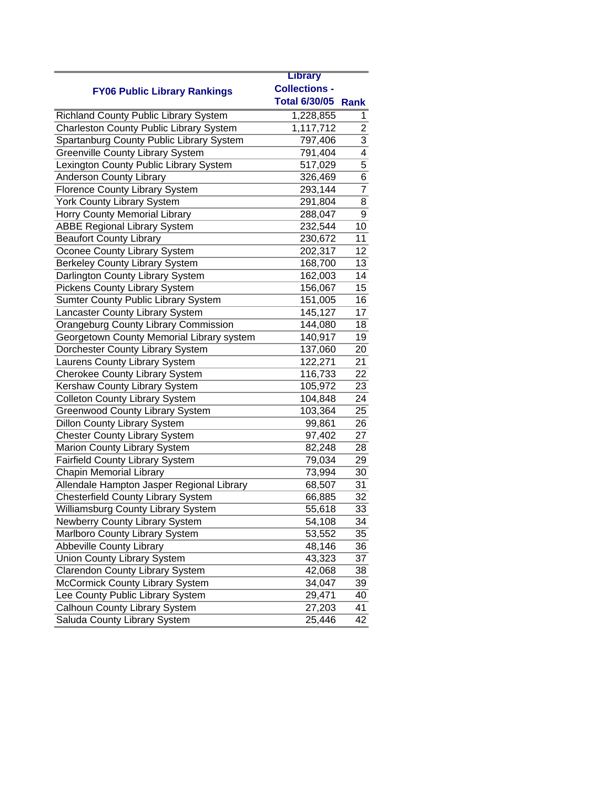|                                             | <b>Library</b>            |                |
|---------------------------------------------|---------------------------|----------------|
| <b>FY06 Public Library Rankings</b>         | <b>Collections -</b>      |                |
|                                             | <b>Total 6/30/05 Rank</b> |                |
| Richland County Public Library System       | 1,228,855                 | 1              |
| Charleston County Public Library System     | 1,117,712                 | $\overline{2}$ |
| Spartanburg County Public Library System    | 797,406                   | 3              |
| <b>Greenville County Library System</b>     | 791,404                   | 4              |
| Lexington County Public Library System      | 517,029                   | $\overline{5}$ |
| <b>Anderson County Library</b>              | 326,469                   | 6              |
| Florence County Library System              | 293,144                   | $\overline{7}$ |
| York County Library System                  | 291,804                   | 8              |
| Horry County Memorial Library               | 288,047                   | 9              |
| <b>ABBE Regional Library System</b>         | 232,544                   | 10             |
| <b>Beaufort County Library</b>              | 230,672                   | 11             |
| Oconee County Library System                | 202,317                   | 12             |
| <b>Berkeley County Library System</b>       | 168,700                   | 13             |
| Darlington County Library System            | 162,003                   | 14             |
| Pickens County Library System               | 156,067                   | 15             |
| Sumter County Public Library System         | 151,005                   | 16             |
| Lancaster County Library System             | 145,127                   | 17             |
| <b>Orangeburg County Library Commission</b> | 144,080                   | 18             |
| Georgetown County Memorial Library system   | 140,917                   | 19             |
| Dorchester County Library System            | 137,060                   | 20             |
| Laurens County Library System               | 122,271                   | 21             |
| <b>Cherokee County Library System</b>       | 116,733                   | 22             |
| Kershaw County Library System               | 105,972                   | 23             |
| <b>Colleton County Library System</b>       | 104,848                   | 24             |
| <b>Greenwood County Library System</b>      | 103,364                   | 25             |
| <b>Dillon County Library System</b>         | 99,861                    | 26             |
| <b>Chester County Library System</b>        | 97,402                    | 27             |
| Marion County Library System                | 82,248                    | 28             |
| <b>Fairfield County Library System</b>      | 79,034                    | 29             |
| <b>Chapin Memorial Library</b>              | 73,994                    | 30             |
| Allendale Hampton Jasper Regional Library   | 68,507                    | 31             |
| <b>Chesterfield County Library System</b>   | 66,885                    | 32             |
| Williamsburg County Library System          | 55,618                    | 33             |
| Newberry County Library System              | 54,108                    | 34             |
| Marlboro County Library System              | 53,552                    | 35             |
| Abbeville County Library                    | 48,146                    | 36             |
| <b>Union County Library System</b>          | 43,323                    | 37             |
| Clarendon County Library System             | 42,068                    | 38             |
| McCormick County Library System             | 34,047                    | 39             |
| Lee County Public Library System            | 29,471                    | 40             |
| Calhoun County Library System               | 27,203                    | 41             |
| Saluda County Library System                | 25,446                    | 42             |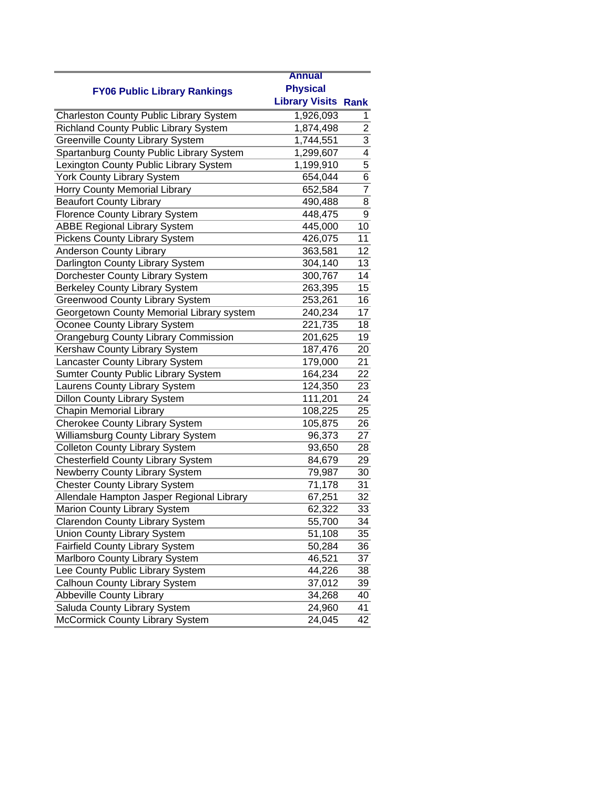|                                              | <b>Annual</b>              |                |
|----------------------------------------------|----------------------------|----------------|
|                                              | <b>Physical</b>            |                |
| <b>FY06 Public Library Rankings</b>          | <b>Library Visits Rank</b> |                |
| Charleston County Public Library System      | 1,926,093                  | 1              |
| <b>Richland County Public Library System</b> | 1,874,498                  | $\overline{c}$ |
| <b>Greenville County Library System</b>      | 1,744,551                  |                |
| Spartanburg County Public Library System     | 1,299,607                  | $\frac{3}{4}$  |
| Lexington County Public Library System       | 1,199,910                  | $\overline{5}$ |
| York County Library System                   | 654,044                    | $\overline{6}$ |
| Horry County Memorial Library                | 652,584                    | $\overline{7}$ |
| <b>Beaufort County Library</b>               | 490,488                    | 8              |
| Florence County Library System               | 448,475                    | 9              |
| <b>ABBE Regional Library System</b>          | 445,000                    | 10             |
| Pickens County Library System                | 426,075                    | 11             |
| <b>Anderson County Library</b>               | 363,581                    | 12             |
| Darlington County Library System             | 304,140                    | 13             |
| Dorchester County Library System             | 300,767                    | 14             |
| <b>Berkeley County Library System</b>        | 263,395                    | 15             |
| <b>Greenwood County Library System</b>       | 253,261                    | 16             |
| Georgetown County Memorial Library system    | 240,234                    | 17             |
| Oconee County Library System                 | 221,735                    | 18             |
| <b>Orangeburg County Library Commission</b>  | 201,625                    | 19             |
| Kershaw County Library System                | 187,476                    | 20             |
| Lancaster County Library System              | 179,000                    | 21             |
| Sumter County Public Library System          | 164,234                    | 22             |
| Laurens County Library System                | 124,350                    | 23             |
| <b>Dillon County Library System</b>          | 111,201                    | 24             |
| <b>Chapin Memorial Library</b>               | 108,225                    | 25             |
| <b>Cherokee County Library System</b>        | 105,875                    | 26             |
| Williamsburg County Library System           | 96,373                     | 27             |
| <b>Colleton County Library System</b>        | 93,650                     | 28             |
| <b>Chesterfield County Library System</b>    | 84,679                     | 29             |
| Newberry County Library System               | 79,987                     | 30             |
| <b>Chester County Library System</b>         | 71,178                     | 31             |
| Allendale Hampton Jasper Regional Library    | 67,251                     | 32             |
| Marion County Library System                 | 62,322                     | 33             |
| <b>Clarendon County Library System</b>       | 55,700                     | 34             |
| <b>Union County Library System</b>           | 51,108                     | 35             |
| <b>Fairfield County Library System</b>       | 50,284                     | 36             |
| Marlboro County Library System               | 46,521                     | 37             |
| Lee County Public Library System             | 44,226                     | 38             |
| Calhoun County Library System                | 37,012                     | 39             |
| <b>Abbeville County Library</b>              | 34,268                     | 40             |
| Saluda County Library System                 | 24,960                     | 41             |
| McCormick County Library System              | 24,045                     | 42             |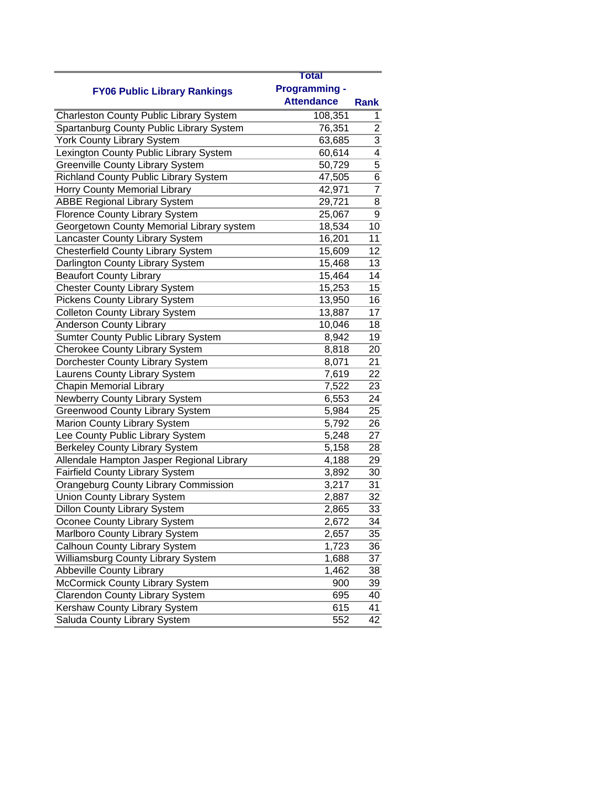|                                                | Total                                     |                |
|------------------------------------------------|-------------------------------------------|----------------|
|                                                |                                           |                |
| <b>FY06 Public Library Rankings</b>            | <b>Programming -</b><br><b>Attendance</b> |                |
|                                                |                                           | <b>Rank</b>    |
| <b>Charleston County Public Library System</b> | 108,351                                   | 1              |
| Spartanburg County Public Library System       | 76,351                                    | $\overline{2}$ |
| York County Library System                     | 63,685                                    | 3              |
| Lexington County Public Library System         | 60,614                                    | $\overline{4}$ |
| <b>Greenville County Library System</b>        | 50,729                                    | 5              |
| Richland County Public Library System          | 47,505                                    | 6              |
| Horry County Memorial Library                  | 42,971                                    | $\overline{7}$ |
| <b>ABBE Regional Library System</b>            | 29,721                                    | 8              |
| <b>Florence County Library System</b>          | 25,067                                    | 9              |
| Georgetown County Memorial Library system      | 18,534                                    | 10             |
| Lancaster County Library System                | 16,201                                    | 11             |
| <b>Chesterfield County Library System</b>      | 15,609                                    | 12             |
| Darlington County Library System               | 15,468                                    | 13             |
| <b>Beaufort County Library</b>                 | 15,464                                    | 14             |
| <b>Chester County Library System</b>           | 15,253                                    | 15             |
| <b>Pickens County Library System</b>           | 13,950                                    | 16             |
| <b>Colleton County Library System</b>          | 13,887                                    | 17             |
| <b>Anderson County Library</b>                 | 10,046                                    | 18             |
| Sumter County Public Library System            | 8,942                                     | 19             |
| <b>Cherokee County Library System</b>          | 8,818                                     | 20             |
| Dorchester County Library System               | 8,071                                     | 21             |
| Laurens County Library System                  | 7,619                                     | 22             |
| <b>Chapin Memorial Library</b>                 | 7,522                                     | 23             |
| Newberry County Library System                 | 6,553                                     | 24             |
| <b>Greenwood County Library System</b>         | 5,984                                     | 25             |
| Marion County Library System                   | 5,792                                     | 26             |
| Lee County Public Library System               | 5,248                                     | 27             |
| <b>Berkeley County Library System</b>          | 5,158                                     | 28             |
| Allendale Hampton Jasper Regional Library      | 4,188                                     | 29             |
| Fairfield County Library System                | 3,892                                     | 30             |
| <b>Orangeburg County Library Commission</b>    | 3,217                                     | 31             |
| <b>Union County Library System</b>             | 2,887                                     | 32             |
| <b>Dillon County Library System</b>            | 2,865                                     | 33             |
| Oconee County Library System                   | 2,672                                     | 34             |
| Marlboro County Library System                 | 2,657                                     | 35             |
| Calhoun County Library System                  | 1,723                                     | 36             |
| Williamsburg County Library System             | 1,688                                     | 37             |
| <b>Abbeville County Library</b>                | 1,462                                     | 38             |
| McCormick County Library System                | 900                                       | 39             |
| <b>Clarendon County Library System</b>         | 695                                       | 40             |
| Kershaw County Library System                  | 615                                       | 41             |
| Saluda County Library System                   | 552                                       | 42             |
|                                                |                                           |                |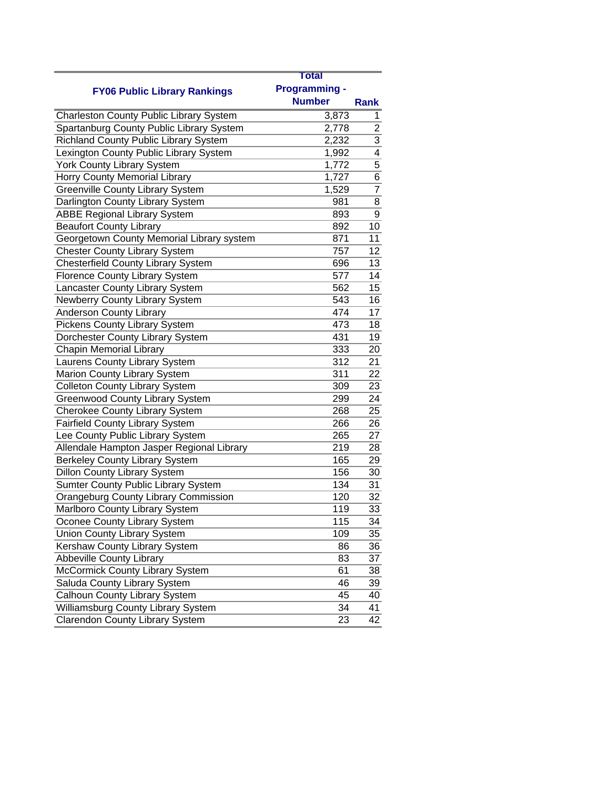|                                                | Total                |                |
|------------------------------------------------|----------------------|----------------|
|                                                | <b>Programming -</b> |                |
| <b>FY06 Public Library Rankings</b>            | <b>Number</b>        | <b>Rank</b>    |
| <b>Charleston County Public Library System</b> | 3,873                | 1              |
| Spartanburg County Public Library System       | 2,778                | $\overline{c}$ |
| <b>Richland County Public Library System</b>   | 2,232                | $\overline{3}$ |
| Lexington County Public Library System         | 1,992                | 4              |
|                                                |                      | 5              |
| York County Library System                     | 1,772<br>1,727       | 6              |
| Horry County Memorial Library                  |                      | $\overline{7}$ |
| <b>Greenville County Library System</b>        | 1,529                |                |
| Darlington County Library System               | 981                  | 8              |
| <b>ABBE Regional Library System</b>            | 893                  | 9              |
| <b>Beaufort County Library</b>                 | 892                  | 10             |
| Georgetown County Memorial Library system      | 871                  | 11             |
| <b>Chester County Library System</b>           | 757                  | 12             |
| <b>Chesterfield County Library System</b>      | 696                  | 13             |
| <b>Florence County Library System</b>          | 577                  | 14             |
| Lancaster County Library System                | 562                  | 15             |
| Newberry County Library System                 | 543                  | 16             |
| <b>Anderson County Library</b>                 | 474                  | 17             |
| <b>Pickens County Library System</b>           | 473                  | 18             |
| Dorchester County Library System               | 431                  | 19             |
| <b>Chapin Memorial Library</b>                 | 333                  | 20             |
| Laurens County Library System                  | 312                  | 21             |
| Marion County Library System                   | 311                  | 22             |
| <b>Colleton County Library System</b>          | 309                  | 23             |
| <b>Greenwood County Library System</b>         | 299                  | 24             |
| <b>Cherokee County Library System</b>          | 268                  | 25             |
| <b>Fairfield County Library System</b>         | 266                  | 26             |
| Lee County Public Library System               | 265                  | 27             |
| Allendale Hampton Jasper Regional Library      | 219                  | 28             |
| <b>Berkeley County Library System</b>          | 165                  | 29             |
| <b>Dillon County Library System</b>            | 156                  | 30             |
| <b>Sumter County Public Library System</b>     | 134                  | 31             |
| <b>Orangeburg County Library Commission</b>    | 120                  | 32             |
| Marlboro County Library System                 | 119                  | 33             |
| Oconee County Library System                   | 115                  | 34             |
| <b>Union County Library System</b>             | 109                  | 35             |
| Kershaw County Library System                  | 86                   | 36             |
| <b>Abbeville County Library</b>                | 83                   | 37             |
| McCormick County Library System                | 61                   | 38             |
| Saluda County Library System                   | 46                   | 39             |
| Calhoun County Library System                  | 45                   | 40             |
| Williamsburg County Library System             | 34                   | 41             |
| <b>Clarendon County Library System</b>         | 23                   | 42             |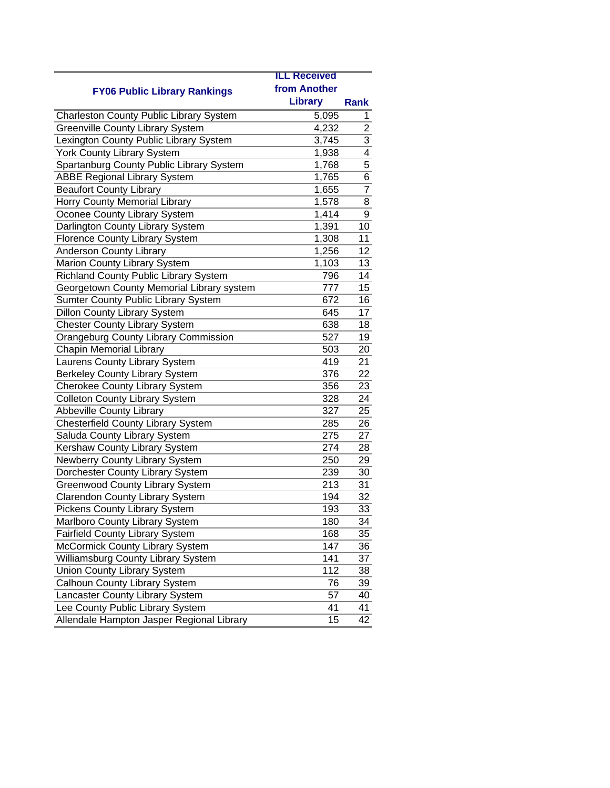|                                                | <b>ILL Received</b> |                |
|------------------------------------------------|---------------------|----------------|
| <b>FY06 Public Library Rankings</b>            | from Another        |                |
|                                                | <b>Library</b>      | Rank           |
| <b>Charleston County Public Library System</b> | 5,095               | 1              |
| <b>Greenville County Library System</b>        | 4,232               | $\overline{c}$ |
| Lexington County Public Library System         | 3,745               |                |
| York County Library System                     | 1,938               | $\frac{3}{4}$  |
| Spartanburg County Public Library System       | 1,768               | $\overline{5}$ |
| <b>ABBE Regional Library System</b>            | 1,765               | $\overline{6}$ |
| <b>Beaufort County Library</b>                 | 1,655               | $\overline{7}$ |
| <b>Horry County Memorial Library</b>           | $\overline{1,}578$  | 8              |
| Oconee County Library System                   | 1,414               | 9              |
| Darlington County Library System               | 1,391               | 10             |
| <b>Florence County Library System</b>          | 1,308               | 11             |
| Anderson County Library                        | 1,256               | 12             |
| Marion County Library System                   | 1,103               | 13             |
| Richland County Public Library System          | 796                 | 14             |
| Georgetown County Memorial Library system      | 777                 | 15             |
| Sumter County Public Library System            | 672                 | 16             |
| <b>Dillon County Library System</b>            | 645                 | 17             |
| <b>Chester County Library System</b>           | 638                 | 18             |
| <b>Orangeburg County Library Commission</b>    | 527                 | 19             |
| <b>Chapin Memorial Library</b>                 | 503                 | 20             |
| Laurens County Library System                  | 419                 | 21             |
| <b>Berkeley County Library System</b>          | 376                 | 22             |
| <b>Cherokee County Library System</b>          | 356                 | 23             |
| <b>Colleton County Library System</b>          | 328                 | 24             |
| <b>Abbeville County Library</b>                | 327                 | 25             |
| <b>Chesterfield County Library System</b>      | 285                 | 26             |
| Saluda County Library System                   | 275                 | 27             |
| Kershaw County Library System                  | 274                 | 28             |
| Newberry County Library System                 | 250                 | 29             |
| Dorchester County Library System               | 239                 | 30             |
| <b>Greenwood County Library System</b>         | 213                 | 31             |
| <b>Clarendon County Library System</b>         | 194                 | 32             |
| <b>Pickens County Library System</b>           | 193                 | 33             |
| Marlboro County Library System                 | 180                 | 34             |
| Fairfield County Library System                | 168                 | 35             |
| McCormick County Library System                | 147                 | 36             |
| Williamsburg County Library System             | 141                 | 37             |
| <b>Union County Library System</b>             | 112                 | 38             |
| Calhoun County Library System                  | 76                  | 39             |
| Lancaster County Library System                | 57                  | 40             |
| Lee County Public Library System               | 41                  | 41             |
| Allendale Hampton Jasper Regional Library      | 15                  | 42             |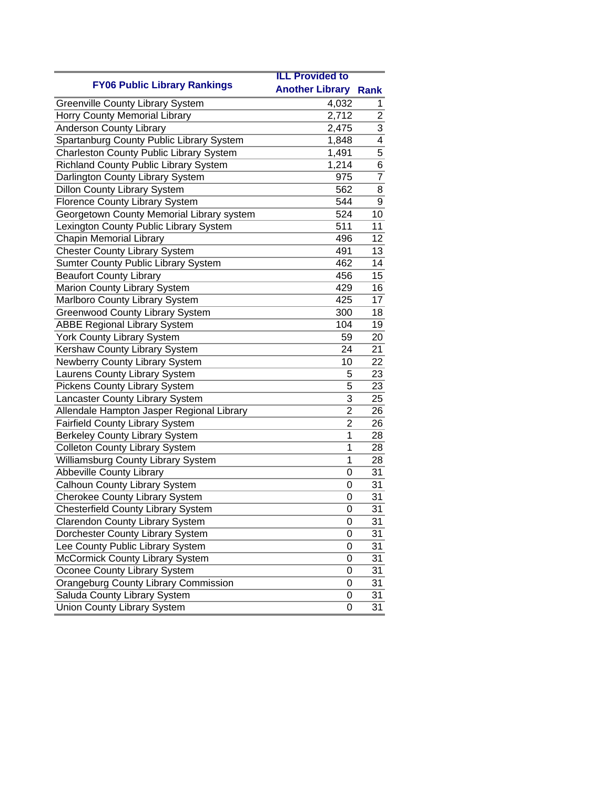|                                                | <b>ILL Provided to</b> |                |
|------------------------------------------------|------------------------|----------------|
| <b>FY06 Public Library Rankings</b>            | <b>Another Library</b> | <b>Rank</b>    |
| <b>Greenville County Library System</b>        | 4,032                  | 1.             |
| Horry County Memorial Library                  | 2,712                  | $\overline{c}$ |
| <b>Anderson County Library</b>                 | 2,475                  | 3              |
| Spartanburg County Public Library System       | 1,848                  | 4              |
| <b>Charleston County Public Library System</b> | 1,491                  | 5              |
| Richland County Public Library System          | 1,214                  | 6              |
| Darlington County Library System               | 975                    | $\overline{7}$ |
| <b>Dillon County Library System</b>            | 562                    | 8              |
| <b>Florence County Library System</b>          | 544                    | 9              |
| Georgetown County Memorial Library system      | 524                    | 10             |
| Lexington County Public Library System         | 511                    | 11             |
| <b>Chapin Memorial Library</b>                 | 496                    | 12             |
| <b>Chester County Library System</b>           | 491                    | 13             |
| Sumter County Public Library System            | 462                    | 14             |
| <b>Beaufort County Library</b>                 | 456                    | 15             |
| Marion County Library System                   | 429                    | 16             |
| Marlboro County Library System                 | 425                    | 17             |
| <b>Greenwood County Library System</b>         | 300                    | 18             |
| <b>ABBE Regional Library System</b>            | 104                    | 19             |
| <b>York County Library System</b>              | 59                     | 20             |
| Kershaw County Library System                  | 24                     | 21             |
| Newberry County Library System                 | 10                     | 22             |
| Laurens County Library System                  | 5                      | 23             |
| <b>Pickens County Library System</b>           | 5                      | 23             |
| Lancaster County Library System                | 3                      | 25             |
| Allendale Hampton Jasper Regional Library      | $\overline{2}$         | 26             |
| <b>Fairfield County Library System</b>         | $\overline{2}$         | 26             |
| <b>Berkeley County Library System</b>          | 1                      | 28             |
| <b>Colleton County Library System</b>          | 1                      | 28             |
| Williamsburg County Library System             | 1                      | 28             |
| <b>Abbeville County Library</b>                | 0                      | 31             |
| Calhoun County Library System                  | 0                      | 31             |
| <b>Cherokee County Library System</b>          | 0                      | 31             |
| <b>Chesterfield County Library System</b>      | 0                      | 31             |
| Clarendon County Library System                | 0                      | 31             |
| Dorchester County Library System               | $\mathbf 0$            | 31             |
| Lee County Public Library System               | 0                      | 31             |
| McCormick County Library System                | 0                      | 31             |
| Oconee County Library System                   | 0                      | 31             |
| <b>Orangeburg County Library Commission</b>    | 0                      | 31             |
| Saluda County Library System                   | 0                      | 31             |
| <b>Union County Library System</b>             | 0                      | 31             |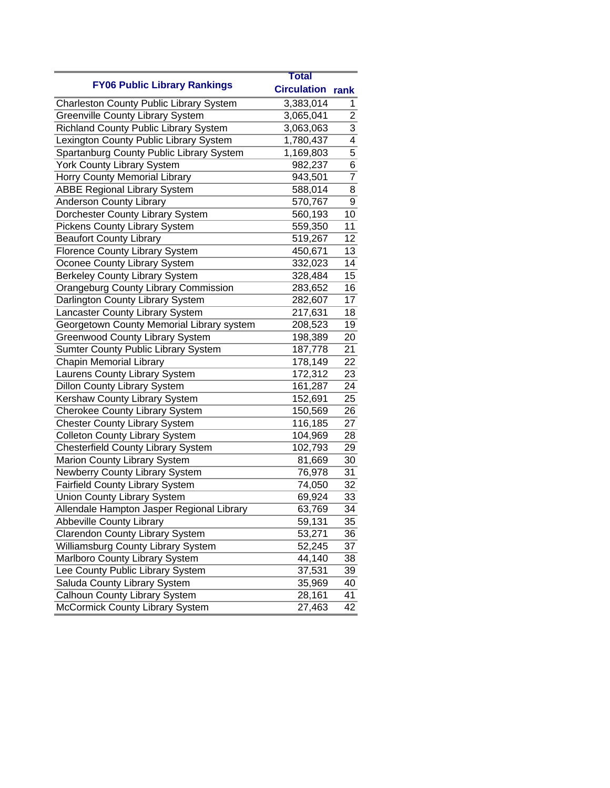|                                                | <b>Total</b>       |                           |
|------------------------------------------------|--------------------|---------------------------|
| <b>FY06 Public Library Rankings</b>            | <b>Circulation</b> | rank                      |
| <b>Charleston County Public Library System</b> | 3,383,014          | 1                         |
| <b>Greenville County Library System</b>        | 3,065,041          | $\overline{2}$            |
| <b>Richland County Public Library System</b>   | 3,063,063          | $\overline{\overline{3}}$ |
| Lexington County Public Library System         | 1,780,437          | 4                         |
| Spartanburg County Public Library System       | 1,169,803          | $\overline{5}$            |
| York County Library System                     | 982,237            | 6                         |
| Horry County Memorial Library                  | 943,501            | $\overline{7}$            |
| <b>ABBE Regional Library System</b>            | 588,014            | 8                         |
| <b>Anderson County Library</b>                 | 570,767            | $\overline{9}$            |
| Dorchester County Library System               | 560,193            | 10                        |
| <b>Pickens County Library System</b>           | 559,350            | 11                        |
| <b>Beaufort County Library</b>                 | 519,267            | 12                        |
| Florence County Library System                 | 450,671            | 13                        |
| Oconee County Library System                   | 332,023            | 14                        |
| <b>Berkeley County Library System</b>          | 328,484            | 15                        |
| Orangeburg County Library Commission           | 283,652            | 16                        |
| Darlington County Library System               | 282,607            | 17                        |
| Lancaster County Library System                | 217,631            | 18                        |
| Georgetown County Memorial Library system      | 208,523            | 19                        |
| <b>Greenwood County Library System</b>         | 198,389            | 20                        |
| Sumter County Public Library System            | 187,778            | 21                        |
| <b>Chapin Memorial Library</b>                 | 178,149            | 22                        |
| Laurens County Library System                  | 172,312            | 23                        |
| <b>Dillon County Library System</b>            | 161,287            | 24                        |
| Kershaw County Library System                  | 152,691            | 25                        |
| <b>Cherokee County Library System</b>          | 150,569            | 26                        |
| <b>Chester County Library System</b>           | 116,185            | 27                        |
| <b>Colleton County Library System</b>          | 104,969            | 28                        |
| <b>Chesterfield County Library System</b>      | 102,793            | 29                        |
| Marion County Library System                   | 81,669             | 30                        |
| Newberry County Library System                 | 76,978             | 31                        |
| <b>Fairfield County Library System</b>         | 74,050             | 32                        |
| <b>Union County Library System</b>             | 69,924             | 33                        |
| Allendale Hampton Jasper Regional Library      | 63,769             | 34                        |
| <b>Abbeville County Library</b>                | 59,131             | 35                        |
| <b>Clarendon County Library System</b>         | 53,271             | 36                        |
| Williamsburg County Library System             | 52,245             | 37                        |
| Marlboro County Library System                 | 44,140             | 38                        |
| Lee County Public Library System               | 37,531             | 39                        |
| Saluda County Library System                   | 35,969             | 40                        |
| <b>Calhoun County Library System</b>           | 28,161             | 41                        |
| McCormick County Library System                | 27,463             | 42                        |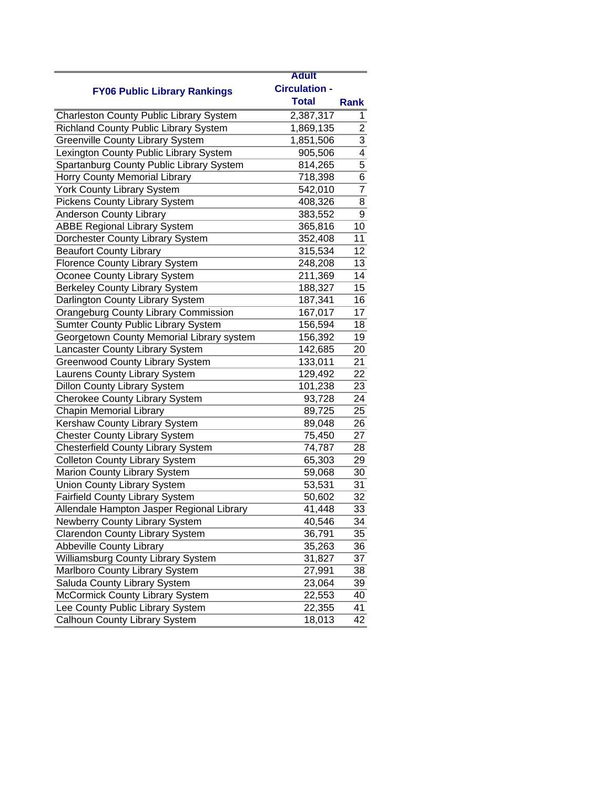|                                                | <b>Adult</b>         |                |
|------------------------------------------------|----------------------|----------------|
| <b>FY06 Public Library Rankings</b>            | <b>Circulation -</b> |                |
|                                                | <b>Total</b>         | <b>Rank</b>    |
| <b>Charleston County Public Library System</b> | 2,387,317            | 1              |
| <b>Richland County Public Library System</b>   | 1,869,135            | $\overline{2}$ |
| <b>Greenville County Library System</b>        | 1,851,506            | 3              |
| Lexington County Public Library System         | 905,506              | $\overline{4}$ |
| Spartanburg County Public Library System       | 814,265              | 5              |
| Horry County Memorial Library                  | 718,398              | 6              |
| York County Library System                     | 542,010              | $\overline{7}$ |
| <b>Pickens County Library System</b>           | 408,326              | 8              |
| <b>Anderson County Library</b>                 | 383,552              | 9              |
| <b>ABBE Regional Library System</b>            | 365,816              | 10             |
| Dorchester County Library System               | 352,408              | 11             |
| <b>Beaufort County Library</b>                 | 315,534              | 12             |
| <b>Florence County Library System</b>          | 248,208              | 13             |
| Oconee County Library System                   | 211,369              | 14             |
| <b>Berkeley County Library System</b>          | 188,327              | 15             |
| Darlington County Library System               | 187,341              | 16             |
| <b>Orangeburg County Library Commission</b>    | 167,017              | 17             |
| <b>Sumter County Public Library System</b>     | 156,594              | 18             |
| Georgetown County Memorial Library system      | 156,392              | 19             |
| Lancaster County Library System                | 142,685              | 20             |
| <b>Greenwood County Library System</b>         | 133,011              | 21             |
| Laurens County Library System                  | 129,492              | 22             |
| <b>Dillon County Library System</b>            | 101,238              | 23             |
| Cherokee County Library System                 | 93,728               | 24             |
| <b>Chapin Memorial Library</b>                 | 89,725               | 25             |
| Kershaw County Library System                  | 89,048               | 26             |
| <b>Chester County Library System</b>           | 75,450               | 27             |
| Chesterfield County Library System             | 74,787               | 28             |
| <b>Colleton County Library System</b>          | 65,303               | 29             |
| Marion County Library System                   | 59,068               | 30             |
| <b>Union County Library System</b>             | 53,531               | 31             |
| <b>Fairfield County Library System</b>         | 50,602               | 32             |
| Allendale Hampton Jasper Regional Library      | 41,448               | 33             |
| Newberry County Library System                 | 40,546               | 34             |
| <b>Clarendon County Library System</b>         | 36,791               | 35             |
| <b>Abbeville County Library</b>                | 35,263               | 36             |
| Williamsburg County Library System             | 31,827               | 37             |
| Marlboro County Library System                 | 27,991               | 38             |
| Saluda County Library System                   | 23,064               | 39             |
| McCormick County Library System                | 22,553               | 40             |
| Lee County Public Library System               | 22,355               | 41             |
| Calhoun County Library System                  | 18,013               | 42             |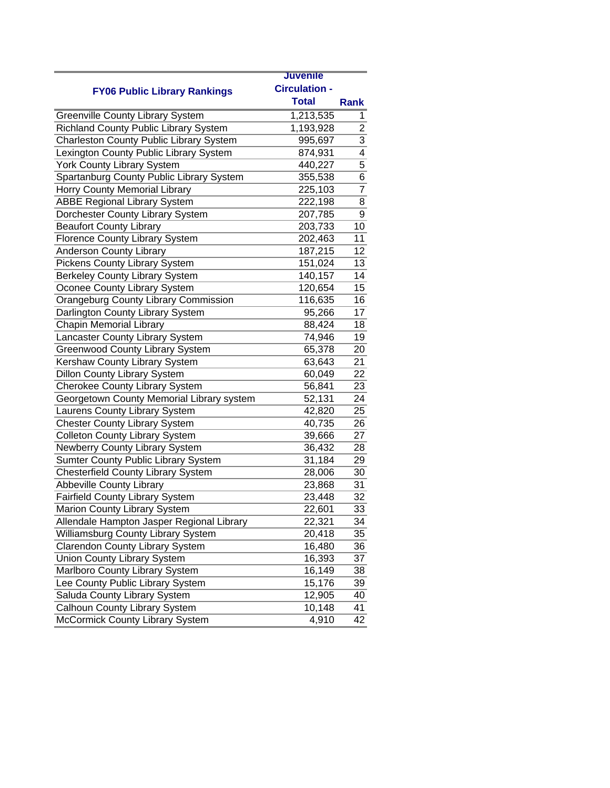|                                                | <b>Juvenile</b>      |                 |
|------------------------------------------------|----------------------|-----------------|
| <b>FY06 Public Library Rankings</b>            | <b>Circulation -</b> |                 |
|                                                | <b>Total</b>         | Rank            |
| <b>Greenville County Library System</b>        | 1,213,535            | 1               |
| Richland County Public Library System          | 1,193,928            | $\overline{2}$  |
| <b>Charleston County Public Library System</b> | 995,697              | 3               |
| Lexington County Public Library System         | 874,931              | $\overline{4}$  |
| <b>York County Library System</b>              | 440,227              | 5               |
| Spartanburg County Public Library System       | 355,538              | 6               |
| Horry County Memorial Library                  | 225,103              | $\overline{7}$  |
| <b>ABBE Regional Library System</b>            | 222,198              | 8               |
| Dorchester County Library System               | 207,785              | 9               |
| <b>Beaufort County Library</b>                 | 203,733              | 10              |
| <b>Florence County Library System</b>          | 202,463              | 11              |
| <b>Anderson County Library</b>                 | 187,215              | 12              |
| <b>Pickens County Library System</b>           | 151,024              | 13              |
| Berkeley County Library System                 | 140,157              | 14              |
| Oconee County Library System                   | 120,654              | 15              |
| Orangeburg County Library Commission           | 116,635              | 16              |
| Darlington County Library System               | 95,266               | 17              |
| <b>Chapin Memorial Library</b>                 | 88,424               | 18              |
| Lancaster County Library System                | 74,946               | 19              |
| <b>Greenwood County Library System</b>         | 65,378               | 20              |
| Kershaw County Library System                  | 63,643               | 21              |
| <b>Dillon County Library System</b>            | 60,049               | 22              |
| <b>Cherokee County Library System</b>          | 56,841               | 23              |
| Georgetown County Memorial Library system      | 52,131               | 24              |
| Laurens County Library System                  | 42,820               | 25              |
| <b>Chester County Library System</b>           | 40,735               | 26              |
| <b>Colleton County Library System</b>          | 39,666               | 27              |
| Newberry County Library System                 | 36,432               | 28              |
| Sumter County Public Library System            | 31,184               | 29              |
| <b>Chesterfield County Library System</b>      | 28,006               | 30              |
| <b>Abbeville County Library</b>                | 23,868               | 31              |
| <b>Fairfield County Library System</b>         | 23,448               | 32              |
| Marion County Library System                   | 22,601               | $\overline{33}$ |
| Allendale Hampton Jasper Regional Library      | 22,321               | 34              |
| Williamsburg County Library System             | 20,418               | 35              |
| <b>Clarendon County Library System</b>         | 16,480               | 36              |
| Union County Library System                    | 16,393               | 37              |
| Marlboro County Library System                 | 16,149               | 38              |
| Lee County Public Library System               | 15,176               | 39              |
| Saluda County Library System                   | 12,905               | 40              |
| Calhoun County Library System                  | 10,148               | 41              |
| McCormick County Library System                | 4,910                | 42              |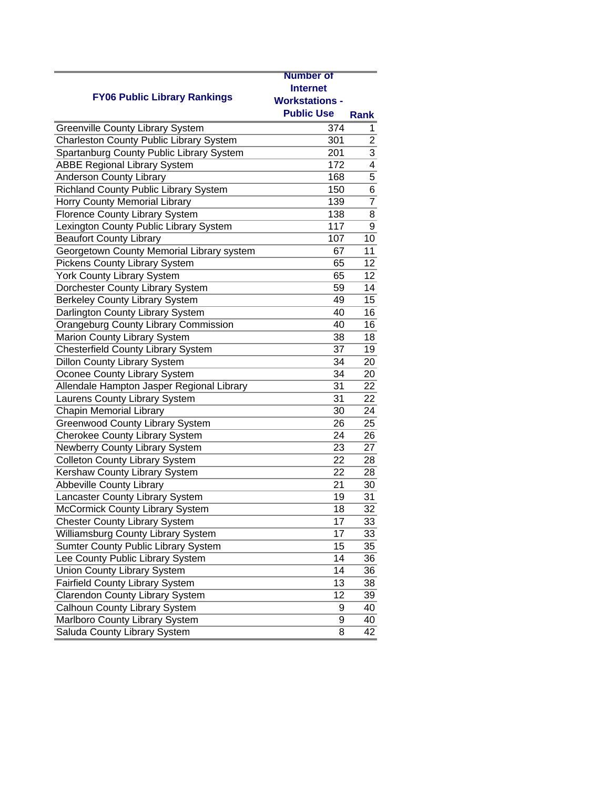|                                                | <b>Number of</b>      |                 |
|------------------------------------------------|-----------------------|-----------------|
|                                                | <b>Internet</b>       |                 |
| <b>FY06 Public Library Rankings</b>            | <b>Workstations -</b> |                 |
|                                                | <b>Public Use</b>     | <b>Rank</b>     |
| <b>Greenville County Library System</b>        | 374                   | 1               |
| <b>Charleston County Public Library System</b> | 301                   | $\overline{2}$  |
| Spartanburg County Public Library System       | 201                   | 3               |
| <b>ABBE Regional Library System</b>            | 172                   | $\overline{4}$  |
| <b>Anderson County Library</b>                 | 168                   | 5               |
| Richland County Public Library System          | 150                   | 6               |
|                                                | 139                   | $\overline{7}$  |
| Horry County Memorial Library                  | 138                   | 8               |
| <b>Florence County Library System</b>          | 117                   |                 |
| Lexington County Public Library System         |                       | 9               |
| <b>Beaufort County Library</b>                 | 107                   | 10              |
| Georgetown County Memorial Library system      | 67                    | 11              |
| <b>Pickens County Library System</b>           | 65                    | 12              |
| York County Library System                     | 65                    | 12              |
| Dorchester County Library System               | 59                    | 14              |
| <b>Berkeley County Library System</b>          | 49                    | 15              |
| Darlington County Library System               | 40                    | 16              |
| Orangeburg County Library Commission           | 40                    | 16              |
| Marion County Library System                   | 38                    | 18              |
| <b>Chesterfield County Library System</b>      | 37                    | 19              |
| <b>Dillon County Library System</b>            | 34                    | 20              |
| Oconee County Library System                   | 34                    | 20              |
| Allendale Hampton Jasper Regional Library      | 31                    | 22              |
| Laurens County Library System                  | 31                    | 22              |
| <b>Chapin Memorial Library</b>                 | 30                    | 24              |
| <b>Greenwood County Library System</b>         | 26                    | $\overline{25}$ |
| <b>Cherokee County Library System</b>          | 24                    | 26              |
| Newberry County Library System                 | 23                    | 27              |
| <b>Colleton County Library System</b>          | 22                    | 28              |
| Kershaw County Library System                  | 22                    | 28              |
| <b>Abbeville County Library</b>                | 21                    | 30              |
| Lancaster County Library System                | 19                    | 31              |
| McCormick County Library System                | 18                    | 32              |
| <b>Chester County Library System</b>           | 17                    | 33              |
| Williamsburg County Library System             | 17                    | 33              |
| Sumter County Public Library System            | 15                    | 35              |
| Lee County Public Library System               | 14                    | 36              |
| <b>Union County Library System</b>             | 14                    | 36              |
| <b>Fairfield County Library System</b>         | 13                    | 38              |
| <b>Clarendon County Library System</b>         | 12                    | 39              |
| Calhoun County Library System                  | 9                     | 40              |
| Marlboro County Library System                 | 9                     | 40              |
| Saluda County Library System                   | 8                     | 42              |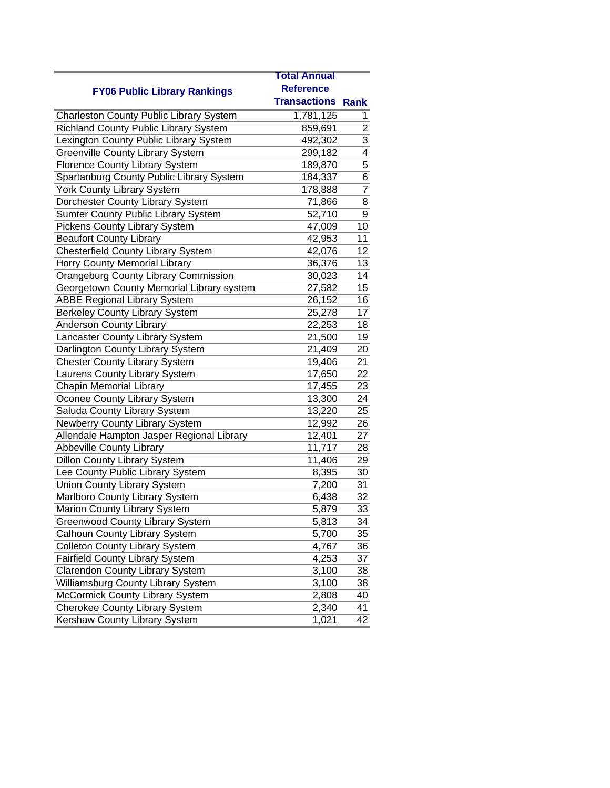|                                                | <b>Total Annual</b>      |                         |
|------------------------------------------------|--------------------------|-------------------------|
|                                                | <b>Reference</b>         |                         |
| <b>FY06 Public Library Rankings</b>            | <b>Transactions Rank</b> |                         |
| <b>Charleston County Public Library System</b> | 1,781,125                | 1                       |
| <b>Richland County Public Library System</b>   | 859,691                  | $\overline{\mathbf{c}}$ |
| Lexington County Public Library System         | 492,302                  | $\overline{3}$          |
| <b>Greenville County Library System</b>        | 299,182                  | $\overline{4}$          |
| <b>Florence County Library System</b>          | 189,870                  | $\overline{5}$          |
| Spartanburg County Public Library System       | 184,337                  | 6                       |
| <b>York County Library System</b>              | 178,888                  | $\overline{7}$          |
| Dorchester County Library System               | 71,866                   | 8                       |
| <b>Sumter County Public Library System</b>     | 52,710                   | 9                       |
| <b>Pickens County Library System</b>           | 47,009                   | 10                      |
| <b>Beaufort County Library</b>                 | 42,953                   | 11                      |
| <b>Chesterfield County Library System</b>      | 42,076                   | 12                      |
| Horry County Memorial Library                  | 36,376                   | 13                      |
| <b>Orangeburg County Library Commission</b>    | 30,023                   | 14                      |
| Georgetown County Memorial Library system      | 27,582                   | 15                      |
| <b>ABBE Regional Library System</b>            | 26,152                   | 16                      |
| <b>Berkeley County Library System</b>          | 25,278                   | 17                      |
| <b>Anderson County Library</b>                 | 22,253                   | 18                      |
| Lancaster County Library System                | 21,500                   | 19                      |
| Darlington County Library System               | 21,409                   | 20                      |
| <b>Chester County Library System</b>           | 19,406                   | 21                      |
| Laurens County Library System                  | 17,650                   | 22                      |
| <b>Chapin Memorial Library</b>                 | 17,455                   | 23                      |
| Oconee County Library System                   | 13,300                   | 24                      |
| Saluda County Library System                   | 13,220                   | 25                      |
| <b>Newberry County Library System</b>          | 12,992                   | 26                      |
| Allendale Hampton Jasper Regional Library      | 12,401                   | 27                      |
| <b>Abbeville County Library</b>                | 11,717                   | 28                      |
| <b>Dillon County Library System</b>            | 11,406                   | 29                      |
| Lee County Public Library System               | 8,395                    | 30                      |
| <b>Union County Library System</b>             | 7,200                    | 31                      |
| Marlboro County Library System                 | 6,438                    | 32                      |
| Marion County Library System                   | 5,879                    | 33                      |
| <b>Greenwood County Library System</b>         | 5,813                    | 34                      |
| Calhoun County Library System                  | 5,700                    | 35                      |
| <b>Colleton County Library System</b>          | 4,767                    | 36                      |
| <b>Fairfield County Library System</b>         | 4,253                    | 37                      |
| <b>Clarendon County Library System</b>         | 3,100                    | 38                      |
| Williamsburg County Library System             | 3,100                    | 38                      |
| <b>McCormick County Library System</b>         | 2,808                    | 40                      |
| <b>Cherokee County Library System</b>          | 2,340                    | 41                      |
| <b>Kershaw County Library System</b>           | 1,021                    | 42                      |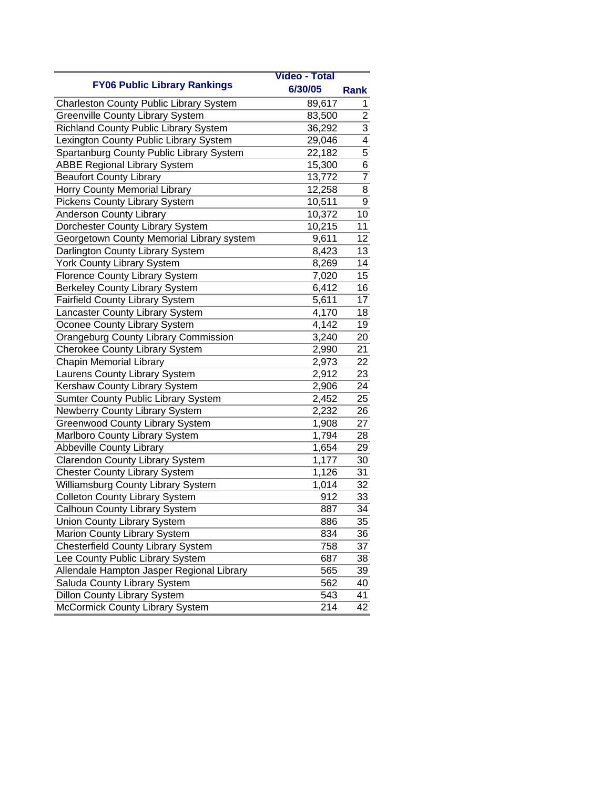|                                              | <b>Video - Total</b> |                 |
|----------------------------------------------|----------------------|-----------------|
| <b>FY06 Public Library Rankings</b>          | 6/30/05              | Rank            |
| Charleston County Public Library System      | 89,617               | 1               |
| <b>Greenville County Library System</b>      | 83,500               | $\overline{2}$  |
| <b>Richland County Public Library System</b> | 36,292               | $\overline{3}$  |
| Lexington County Public Library System       | 29,046               | 4               |
| Spartanburg County Public Library System     | 22,182               | 5               |
| <b>ABBE Regional Library System</b>          | 15,300               | 6               |
| <b>Beaufort County Library</b>               | 13,772               | $\overline{7}$  |
| Horry County Memorial Library                | 12,258               | 8               |
| <b>Pickens County Library System</b>         | 10,511               | 9               |
| <b>Anderson County Library</b>               | 10,372               | 10              |
| Dorchester County Library System             | 10,215               | 11              |
| Georgetown County Memorial Library system    | 9,611                | $\overline{12}$ |
| Darlington County Library System             | 8,423                | 13              |
| <b>York County Library System</b>            | 8,269                | 14              |
| <b>Florence County Library System</b>        | 7,020                | 15              |
| <b>Berkeley County Library System</b>        | 6,412                | 16              |
| <b>Fairfield County Library System</b>       | 5,611                | 17              |
| Lancaster County Library System              | 4,170                | 18              |
| Oconee County Library System                 | 4,142                | 19              |
| <b>Orangeburg County Library Commission</b>  | 3,240                | 20              |
| <b>Cherokee County Library System</b>        | 2,990                | 21              |
| <b>Chapin Memorial Library</b>               | 2,973                | 22              |
| Laurens County Library System                | 2,912                | 23              |
| Kershaw County Library System                | 2,906                | 24              |
| <b>Sumter County Public Library System</b>   | 2,452                | 25              |
| Newberry County Library System               | 2,232                | 26              |
| <b>Greenwood County Library System</b>       | 1,908                | 27              |
| Marlboro County Library System               | 1,794                | 28              |
| <b>Abbeville County Library</b>              | 1,654                | 29              |
| <b>Clarendon County Library System</b>       | 1,177                | 30              |
| <b>Chester County Library System</b>         | 1,126                | 31              |
| Williamsburg County Library System           | 1,014                | 32              |
| <b>Colleton County Library System</b>        | 912                  | 33              |
| Calhoun County Library System                | 887                  | 34              |
| <b>Union County Library System</b>           | 886                  | 35              |
| Marion County Library System                 | 834                  | 36              |
| Chesterfield County Library System           | 758                  | 37              |
| Lee County Public Library System             | 687                  | 38              |
| Allendale Hampton Jasper Regional Library    | 565                  | 39              |
| Saluda County Library System                 | 562                  | 40              |
| <b>Dillon County Library System</b>          | 543                  | 41              |
| McCormick County Library System              | 214                  | 42              |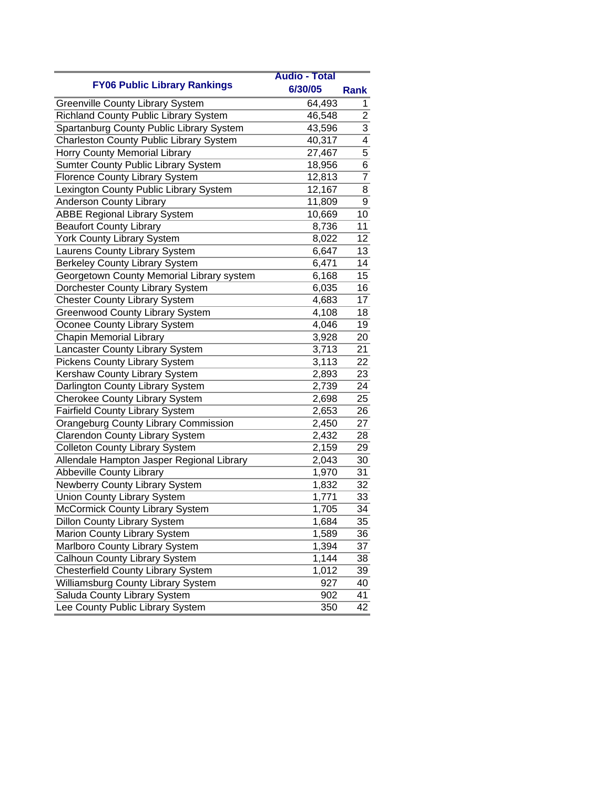|                                                | <b>Audio - Total</b> |                |
|------------------------------------------------|----------------------|----------------|
| <b>FY06 Public Library Rankings</b>            | 6/30/05              | Rank           |
| Greenville County Library System               | 64,493               | 1              |
| Richland County Public Library System          | 46,548               | $\overline{2}$ |
| Spartanburg County Public Library System       | 43,596               | $\overline{3}$ |
| <b>Charleston County Public Library System</b> | 40,317               | $\overline{4}$ |
| Horry County Memorial Library                  | 27,467               | 5              |
| Sumter County Public Library System            | 18,956               | $\overline{6}$ |
| Florence County Library System                 | 12,813               | $\overline{7}$ |
| Lexington County Public Library System         | 12,167               | 8              |
| <b>Anderson County Library</b>                 | 11,809               | 9              |
| <b>ABBE Regional Library System</b>            | 10,669               | 10             |
| <b>Beaufort County Library</b>                 | 8,736                | 11             |
| <b>York County Library System</b>              | 8,022                | 12             |
| Laurens County Library System                  | 6,647                | 13             |
| <b>Berkeley County Library System</b>          | 6,471                | 14             |
| Georgetown County Memorial Library system      | 6,168                | 15             |
| Dorchester County Library System               | 6,035                | 16             |
| <b>Chester County Library System</b>           | 4,683                | 17             |
| <b>Greenwood County Library System</b>         | 4,108                | 18             |
| Oconee County Library System                   | 4,046                | 19             |
| <b>Chapin Memorial Library</b>                 | 3,928                | 20             |
| Lancaster County Library System                | 3,713                | 21             |
| <b>Pickens County Library System</b>           | 3,113                | 22             |
| Kershaw County Library System                  | 2,893                | 23             |
| Darlington County Library System               | 2,739                | 24             |
| <b>Cherokee County Library System</b>          | 2,698                | 25             |
| <b>Fairfield County Library System</b>         | 2,653                | 26             |
| <b>Orangeburg County Library Commission</b>    | 2,450                | 27             |
| <b>Clarendon County Library System</b>         | 2,432                | 28             |
| <b>Colleton County Library System</b>          | 2,159                | 29             |
| Allendale Hampton Jasper Regional Library      | 2,043                | 30             |
| <b>Abbeville County Library</b>                | 1,970                | 31             |
| Newberry County Library System                 | 1,832                | 32             |
| <b>Union County Library System</b>             | 1,771                | 33             |
| McCormick County Library System                | 1,705                | 34             |
| <b>Dillon County Library System</b>            | 1,684                | 35             |
| Marion County Library System                   | 1,589                | 36             |
| Marlboro County Library System                 | 1,394                | 37             |
| Calhoun County Library System                  | 1,144                | 38             |
| <b>Chesterfield County Library System</b>      | 1,012                | 39             |
| Williamsburg County Library System             | 927                  | 40             |
| Saluda County Library System                   | 902                  | 41             |
| Lee County Public Library System               | 350                  | 42             |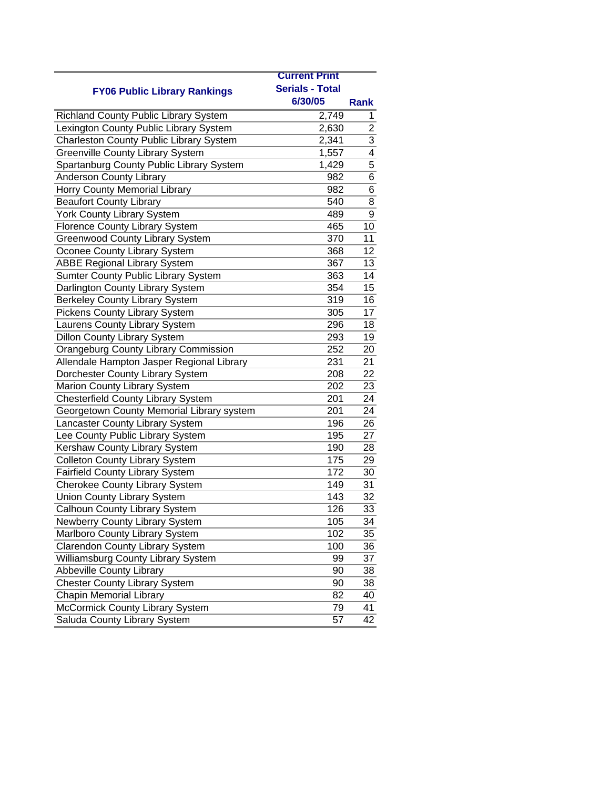|                                              | <b>Current Print</b>   |                |
|----------------------------------------------|------------------------|----------------|
| <b>FY06 Public Library Rankings</b>          | <b>Serials - Total</b> |                |
|                                              | 6/30/05                | Rank           |
| <b>Richland County Public Library System</b> | 2,749                  | 1              |
| Lexington County Public Library System       | 2,630                  | $\overline{2}$ |
| Charleston County Public Library System      | 2,341                  | 3              |
| <b>Greenville County Library System</b>      | 1,557                  | $\overline{4}$ |
| Spartanburg County Public Library System     | 1,429                  | 5              |
| <b>Anderson County Library</b>               | 982                    | 6              |
| Horry County Memorial Library                | 982                    | 6              |
| <b>Beaufort County Library</b>               | 540                    | 8              |
| <b>York County Library System</b>            | 489                    | 9              |
| <b>Florence County Library System</b>        | 465                    | 10             |
| <b>Greenwood County Library System</b>       | 370                    | 11             |
| Oconee County Library System                 | 368                    | 12             |
| <b>ABBE Regional Library System</b>          | 367                    | 13             |
| Sumter County Public Library System          | 363                    | 14             |
| Darlington County Library System             | 354                    | 15             |
| <b>Berkeley County Library System</b>        | 319                    | 16             |
| Pickens County Library System                | 305                    | 17             |
| Laurens County Library System                | 296                    | 18             |
| <b>Dillon County Library System</b>          | 293                    | 19             |
| <b>Orangeburg County Library Commission</b>  | 252                    | 20             |
| Allendale Hampton Jasper Regional Library    | 231                    | 21             |
| Dorchester County Library System             | 208                    | 22             |
| Marion County Library System                 | 202                    | 23             |
| <b>Chesterfield County Library System</b>    | 201                    | 24             |
| Georgetown County Memorial Library system    | 201                    | 24             |
| Lancaster County Library System              | 196                    | 26             |
| Lee County Public Library System             | 195                    | 27             |
| Kershaw County Library System                | 190                    | 28             |
| <b>Colleton County Library System</b>        | 175                    | 29             |
| Fairfield County Library System              | 172                    | 30             |
| <b>Cherokee County Library System</b>        | 149                    | 31             |
| <b>Union County Library System</b>           | 143                    | 32             |
| Calhoun County Library System                | 126                    | 33             |
| Newberry County Library System               | 105                    | 34             |
| Marlboro County Library System               | 102                    | 35             |
| <b>Clarendon County Library System</b>       | 100                    | 36             |
| Williamsburg County Library System           | 99                     | 37             |
| <b>Abbeville County Library</b>              | 90                     | 38             |
| <b>Chester County Library System</b>         | 90                     | 38             |
| <b>Chapin Memorial Library</b>               | 82                     | 40             |
| McCormick County Library System              | 79                     | 41             |
| Saluda County Library System                 | 57                     | 42             |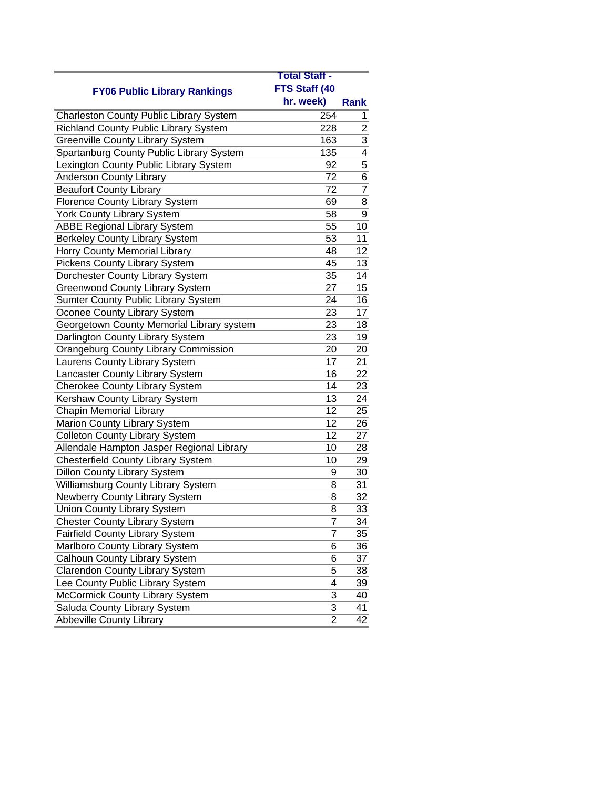|                                                | <b>Total Staff -</b> |                |
|------------------------------------------------|----------------------|----------------|
| <b>FY06 Public Library Rankings</b>            | FTS Staff (40        |                |
|                                                | hr. week)            | <b>Rank</b>    |
| <b>Charleston County Public Library System</b> | 254                  | 1              |
| Richland County Public Library System          | 228                  | $\overline{2}$ |
| <b>Greenville County Library System</b>        | 163                  | $\overline{3}$ |
| Spartanburg County Public Library System       | 135                  | $\overline{4}$ |
| Lexington County Public Library System         | 92                   | $\overline{5}$ |
| <b>Anderson County Library</b>                 | 72                   | 6              |
| <b>Beaufort County Library</b>                 | 72                   | 7              |
| <b>Florence County Library System</b>          | 69                   | 8              |
| <b>York County Library System</b>              | 58                   | 9              |
| <b>ABBE Regional Library System</b>            | 55                   | 10             |
| <b>Berkeley County Library System</b>          | 53                   | 11             |
| Horry County Memorial Library                  | 48                   | 12             |
| <b>Pickens County Library System</b>           | 45                   | 13             |
| Dorchester County Library System               | 35                   | 14             |
| <b>Greenwood County Library System</b>         | 27                   | 15             |
| Sumter County Public Library System            | 24                   | 16             |
| Oconee County Library System                   | 23                   | 17             |
| Georgetown County Memorial Library system      | 23                   | 18             |
| Darlington County Library System               | 23                   | 19             |
| Orangeburg County Library Commission           | 20                   | 20             |
| Laurens County Library System                  | 17                   | 21             |
| Lancaster County Library System                | 16                   | 22             |
| <b>Cherokee County Library System</b>          | 14                   | 23             |
| Kershaw County Library System                  | 13                   | 24             |
| <b>Chapin Memorial Library</b>                 | 12                   | 25             |
| Marion County Library System                   | 12                   | 26             |
| <b>Colleton County Library System</b>          | $\overline{12}$      | 27             |
| Allendale Hampton Jasper Regional Library      | 10                   | 28             |
| <b>Chesterfield County Library System</b>      | 10                   | 29             |
| <b>Dillon County Library System</b>            | 9                    | 30             |
| Williamsburg County Library System             | 8                    | 31             |
| Newberry County Library System                 | 8                    | 32             |
| Union County Library System                    | 8                    | 33             |
| <b>Chester County Library System</b>           | 7                    | 34             |
| <b>Fairfield County Library System</b>         | 7                    | 35             |
| Marlboro County Library System                 | 6                    | 36             |
| Calhoun County Library System                  | 6                    | 37             |
| <b>Clarendon County Library System</b>         | 5                    | 38             |
| Lee County Public Library System               | 4                    | 39             |
| McCormick County Library System                | 3                    | 40             |
| Saluda County Library System                   | 3                    | 41             |
| <b>Abbeville County Library</b>                | $\overline{2}$       | 42             |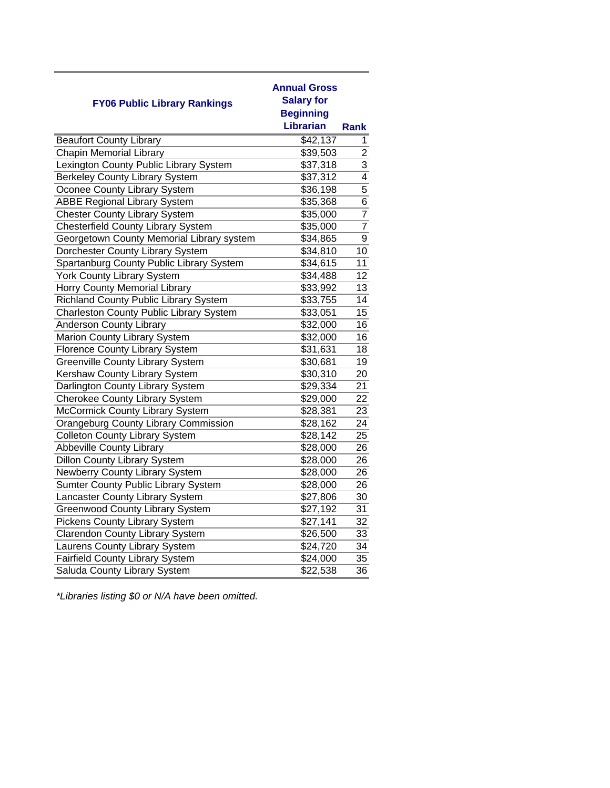| <b>FY06 Public Library Rankings</b>            | <b>Annual Gross</b><br><b>Salary for</b><br><b>Beginning</b><br><b>Librarian</b> | Rank            |
|------------------------------------------------|----------------------------------------------------------------------------------|-----------------|
| <b>Beaufort County Library</b>                 | \$42,137                                                                         | 1               |
| <b>Chapin Memorial Library</b>                 | \$39,503                                                                         | $\overline{2}$  |
| Lexington County Public Library System         | \$37,318                                                                         | 3               |
| <b>Berkeley County Library System</b>          | \$37,312                                                                         | $\overline{4}$  |
| Oconee County Library System                   | \$36,198                                                                         | $\overline{5}$  |
| <b>ABBE Regional Library System</b>            | \$35,368                                                                         | 6               |
| <b>Chester County Library System</b>           | $\overline{$}35,000$                                                             | $\overline{7}$  |
| <b>Chesterfield County Library System</b>      | \$35,000                                                                         | $\overline{7}$  |
| Georgetown County Memorial Library system      | \$34,865                                                                         | $\overline{9}$  |
| Dorchester County Library System               | \$34,810                                                                         | 10              |
| Spartanburg County Public Library System       | \$34,615                                                                         | 11              |
| <b>York County Library System</b>              | \$34,488                                                                         | 12 <sub>2</sub> |
| Horry County Memorial Library                  | \$33,992                                                                         | $\overline{13}$ |
| <b>Richland County Public Library System</b>   | \$33,755                                                                         | 14              |
| <b>Charleston County Public Library System</b> | \$33,051                                                                         | 15              |
| Anderson County Library                        | \$32,000                                                                         | 16              |
| Marion County Library System                   | \$32,000                                                                         | 16              |
| <b>Florence County Library System</b>          | \$31,631                                                                         | 18              |
| <b>Greenville County Library System</b>        | \$30,681                                                                         | 19              |
| Kershaw County Library System                  | \$30,310                                                                         | 20              |
| Darlington County Library System               | \$29,334                                                                         | 21              |
| <b>Cherokee County Library System</b>          | \$29,000                                                                         | $\overline{22}$ |
| <b>McCormick County Library System</b>         | \$28,381                                                                         | 23              |
| <b>Orangeburg County Library Commission</b>    | \$28,162                                                                         | 24              |
| <b>Colleton County Library System</b>          | \$28,142                                                                         | $\overline{25}$ |
| <b>Abbeville County Library</b>                | \$28,000                                                                         | 26              |
| <b>Dillon County Library System</b>            | \$28,000                                                                         | 26              |
| Newberry County Library System                 | \$28,000                                                                         | 26              |
| Sumter County Public Library System            | \$28,000                                                                         | 26              |
| Lancaster County Library System                | \$27,806                                                                         | 30              |
| <b>Greenwood County Library System</b>         | \$27,192                                                                         | 31              |
| <b>Pickens County Library System</b>           | \$27,141                                                                         | 32              |
| <b>Clarendon County Library System</b>         | \$26,500                                                                         | 33              |
| Laurens County Library System                  | \$24,720                                                                         | 34              |
| <b>Fairfield County Library System</b>         | \$24,000                                                                         | 35              |
| Saluda County Library System                   | \$22,538                                                                         | $\overline{36}$ |

*\*Libraries listing \$0 or N/A have been omitted.*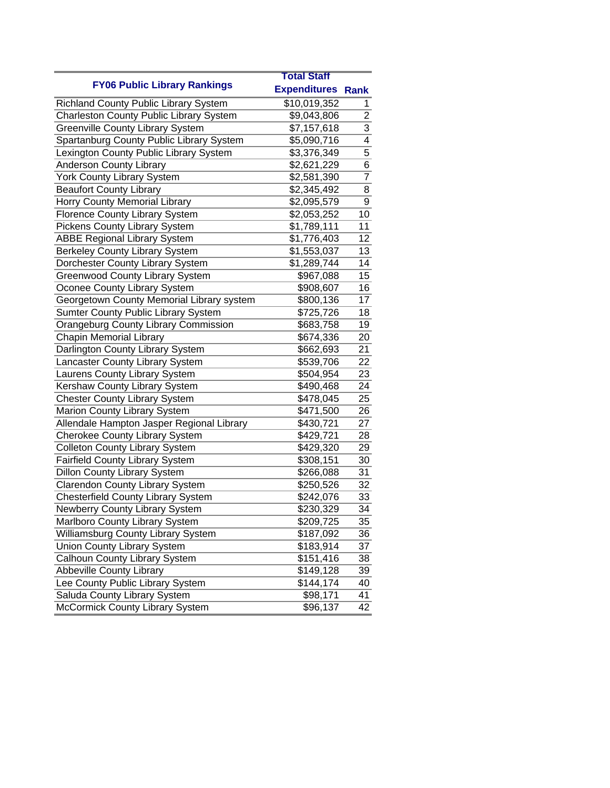|                                                | <b>Total Staff</b>       |                |
|------------------------------------------------|--------------------------|----------------|
| <b>FY06 Public Library Rankings</b>            | <b>Expenditures Rank</b> |                |
| Richland County Public Library System          | \$10,019,352             | 1              |
| <b>Charleston County Public Library System</b> | \$9,043,806              | $\overline{2}$ |
| <b>Greenville County Library System</b>        | \$7,157,618              | $\overline{3}$ |
| Spartanburg County Public Library System       | \$5,090,716              | 4              |
| Lexington County Public Library System         | \$3,376,349              | $\overline{5}$ |
| <b>Anderson County Library</b>                 | \$2,621,229              | 6              |
| York County Library System                     | \$2,581,390              | $\overline{7}$ |
| <b>Beaufort County Library</b>                 | \$2,345,492              | 8              |
| Horry County Memorial Library                  | \$2,095,579              | $\overline{9}$ |
| Florence County Library System                 | \$2,053,252              | 10             |
| <b>Pickens County Library System</b>           | \$1,789,111              | 11             |
| <b>ABBE Regional Library System</b>            | \$1,776,403              | 12             |
| <b>Berkeley County Library System</b>          | \$1,553,037              | 13             |
| Dorchester County Library System               | \$1,289,744              | 14             |
| Greenwood County Library System                | \$967,088                | 15             |
| Oconee County Library System                   | \$908,607                | 16             |
| Georgetown County Memorial Library system      | \$800,136                | 17             |
| <b>Sumter County Public Library System</b>     | \$725,726                | 18             |
| <b>Orangeburg County Library Commission</b>    | \$683,758                | 19             |
| Chapin Memorial Library                        | \$674,336                | 20             |
| Darlington County Library System               | \$662,693                | 21             |
| Lancaster County Library System                | \$539,706                | 22             |
| Laurens County Library System                  | \$504,954                | 23             |
| Kershaw County Library System                  | \$490,468                | 24             |
| <b>Chester County Library System</b>           | \$478,045                | 25             |
| Marion County Library System                   | \$471,500                | 26             |
| Allendale Hampton Jasper Regional Library      | \$430,721                | 27             |
| Cherokee County Library System                 | \$429,721                | 28             |
| <b>Colleton County Library System</b>          | \$429,320                | 29             |
| <b>Fairfield County Library System</b>         | \$308,151                | 30             |
| <b>Dillon County Library System</b>            | \$266,088                | 31             |
| <b>Clarendon County Library System</b>         | \$250,526                | 32             |
| <b>Chesterfield County Library System</b>      | \$242,076                | 33             |
| Newberry County Library System                 | \$230,329                | 34             |
| Marlboro County Library System                 | \$209,725                | 35             |
| Williamsburg County Library System             | \$187,092                | 36             |
| <b>Union County Library System</b>             | \$183,914                | 37             |
| Calhoun County Library System                  | \$151,416                | 38             |
| <b>Abbeville County Library</b>                | \$149,128                | 39             |
| Lee County Public Library System               | \$144,174                | 40             |
| Saluda County Library System                   | \$98,171                 | 41             |
| McCormick County Library System                | \$96,137                 | 42             |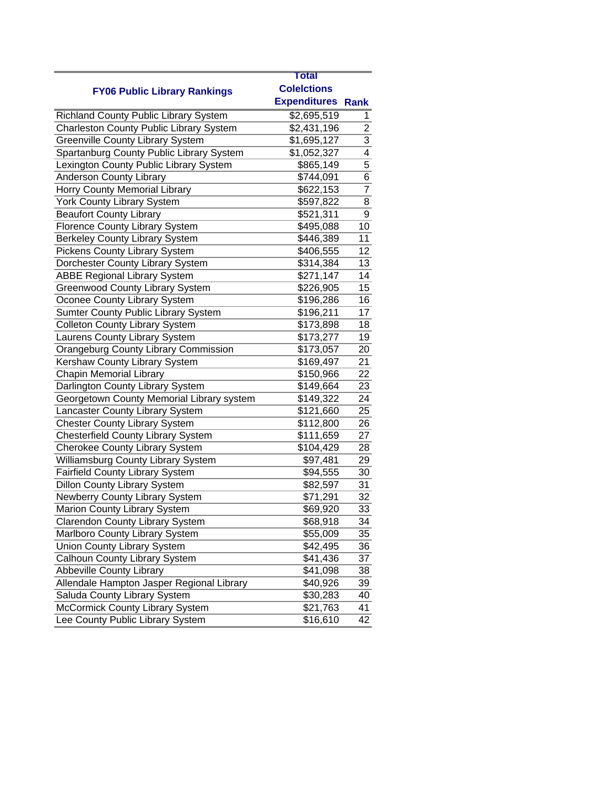|                                                | <b>Total</b>        |                |
|------------------------------------------------|---------------------|----------------|
| <b>FY06 Public Library Rankings</b>            | <b>Colelctions</b>  |                |
|                                                | <b>Expenditures</b> | <b>Rank</b>    |
| Richland County Public Library System          | \$2,695,519         | 1              |
| <b>Charleston County Public Library System</b> | \$2,431,196         | $\overline{2}$ |
| <b>Greenville County Library System</b>        | \$1,695,127         | $\overline{3}$ |
| Spartanburg County Public Library System       | \$1,052,327         | $\overline{4}$ |
| Lexington County Public Library System         | \$865,149           | $\overline{5}$ |
| <b>Anderson County Library</b>                 | \$744,091           | 6              |
| Horry County Memorial Library                  | \$622,153           | $\overline{7}$ |
| <b>York County Library System</b>              | \$597,822           | 8              |
| <b>Beaufort County Library</b>                 | \$521,311           | 9              |
| <b>Florence County Library System</b>          | \$495,088           | 10             |
| Berkeley County Library System                 | \$446,389           | 11             |
| <b>Pickens County Library System</b>           | \$406,555           | 12             |
| Dorchester County Library System               | \$314,384           | 13             |
| <b>ABBE Regional Library System</b>            | \$271,147           | 14             |
| <b>Greenwood County Library System</b>         | \$226,905           | 15             |
| Oconee County Library System                   | \$196,286           | 16             |
| Sumter County Public Library System            | \$196,211           | 17             |
| <b>Colleton County Library System</b>          | \$173,898           | 18             |
| Laurens County Library System                  | \$173,277           | 19             |
| <b>Orangeburg County Library Commission</b>    | \$173,057           | 20             |
| Kershaw County Library System                  | \$169,497           | 21             |
| <b>Chapin Memorial Library</b>                 | \$150,966           | 22             |
| Darlington County Library System               | \$149,664           | 23             |
| Georgetown County Memorial Library system      | \$149,322           | 24             |
| Lancaster County Library System                | \$121,660           | 25             |
| <b>Chester County Library System</b>           | \$112,800           | 26             |
| <b>Chesterfield County Library System</b>      | \$111,659           | 27             |
| <b>Cherokee County Library System</b>          | \$104,429           | 28             |
| Williamsburg County Library System             | \$97,481            | 29             |
| Fairfield County Library System                | \$94,555            | 30             |
| <b>Dillon County Library System</b>            | \$82,597            | 31             |
| <b>Newberry County Library System</b>          | \$71,291            | 32             |
| Marion County Library System                   | \$69,920            | 33             |
| Clarendon County Library System                | \$68,918            | 34             |
| Marlboro County Library System                 | \$55,009            | 35             |
| <b>Union County Library System</b>             | \$42,495            | 36             |
| Calhoun County Library System                  | \$41,436            | 37             |
| <b>Abbeville County Library</b>                | \$41,098            | 38             |
| Allendale Hampton Jasper Regional Library      | \$40,926            | 39             |
| Saluda County Library System                   | \$30,283            | 40             |
| McCormick County Library System                | \$21,763            | 41             |
| Lee County Public Library System               | \$16,610            | 42             |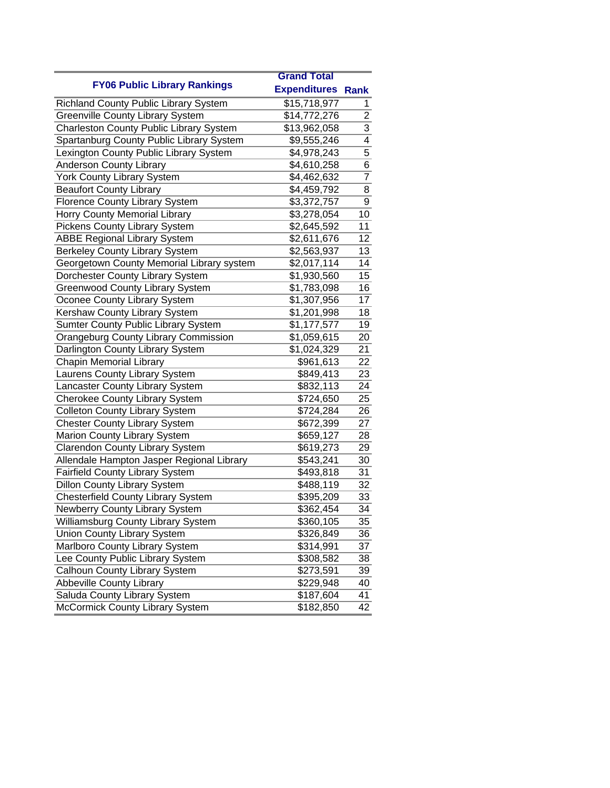|                                                | <b>Grand Total</b>       |                           |
|------------------------------------------------|--------------------------|---------------------------|
| <b>FY06 Public Library Rankings</b>            | <b>Expenditures Rank</b> |                           |
| <b>Richland County Public Library System</b>   | \$15,718,977             | 1                         |
| <b>Greenville County Library System</b>        | \$14,772,276             | $\overline{2}$            |
| <b>Charleston County Public Library System</b> | \$13,962,058             | $\overline{\overline{3}}$ |
| Spartanburg County Public Library System       | \$9,555,246              | 4                         |
| Lexington County Public Library System         | \$4,978,243              | $\overline{5}$            |
| Anderson County Library                        | \$4,610,258              | 6                         |
| York County Library System                     | \$4,462,632              | $\overline{7}$            |
| <b>Beaufort County Library</b>                 | \$4,459,792              | 8                         |
| <b>Florence County Library System</b>          | \$3,372,757              | $\overline{9}$            |
| Horry County Memorial Library                  | \$3,278,054              | 10                        |
| <b>Pickens County Library System</b>           | \$2,645,592              | 11                        |
| <b>ABBE Regional Library System</b>            | \$2,611,676              | 12                        |
| Berkeley County Library System                 | $\overline{$}2,563,937$  | 13                        |
| Georgetown County Memorial Library system      | \$2,017,114              | 14                        |
| Dorchester County Library System               | \$1,930,560              | 15                        |
| <b>Greenwood County Library System</b>         | \$1,783,098              | 16                        |
| Oconee County Library System                   | \$1,307,956              | 17                        |
| Kershaw County Library System                  | \$1,201,998              | 18                        |
| Sumter County Public Library System            | \$1,177,577              | 19                        |
| <b>Orangeburg County Library Commission</b>    | \$1,059,615              | 20                        |
| Darlington County Library System               | \$1,024,329              | 21                        |
| <b>Chapin Memorial Library</b>                 | \$961,613                | 22                        |
| Laurens County Library System                  | \$849,413                | 23                        |
| Lancaster County Library System                | \$832,113                | 24                        |
| <b>Cherokee County Library System</b>          | \$724,650                | 25                        |
| <b>Colleton County Library System</b>          | \$724,284                | 26                        |
| <b>Chester County Library System</b>           | \$672,399                | 27                        |
| Marion County Library System                   | \$659,127                | 28                        |
| <b>Clarendon County Library System</b>         | \$619,273                | 29                        |
| Allendale Hampton Jasper Regional Library      | \$543,241                | 30                        |
| <b>Fairfield County Library System</b>         | \$493,818                | 31                        |
| <b>Dillon County Library System</b>            | \$488,119                | 32                        |
| <b>Chesterfield County Library System</b>      | \$395,209                | 33                        |
| Newberry County Library System                 | \$362,454                | 34                        |
| Williamsburg County Library System             | \$360,105                | 35                        |
| <b>Union County Library System</b>             | \$326,849                | 36                        |
| Marlboro County Library System                 | \$314,991                | 37                        |
| Lee County Public Library System               | \$308,582                | 38                        |
| Calhoun County Library System                  | \$273,591                | 39                        |
| <b>Abbeville County Library</b>                | \$229,948                | 40                        |
| Saluda County Library System                   | $\overline{$}187,604$    | 41                        |
| McCormick County Library System                | \$182,850                | 42                        |